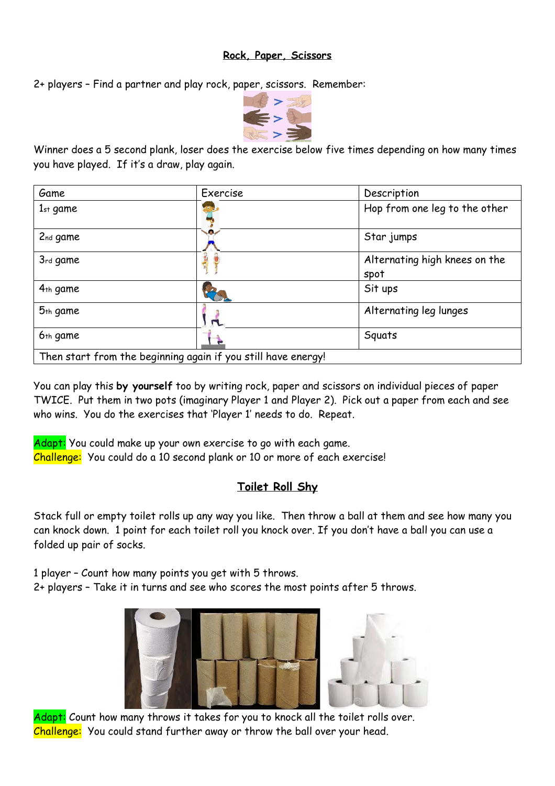## **Rock, Paper, Scissors**

2+ players – Find a partner and play rock, paper, scissors. Remember:



Winner does a 5 second plank, loser does the exercise below five times depending on how many times you have played. If it's a draw, play again.

| Game                                                          | Exercise | Description                           |
|---------------------------------------------------------------|----------|---------------------------------------|
| $1st$ game                                                    |          | Hop from one leg to the other         |
| 2nd game                                                      | $\sim$   | Star jumps                            |
| 3rd game                                                      | JE       | Alternating high knees on the<br>spot |
| $4th$ game                                                    |          | Sit ups                               |
| 5 <sub>th</sub> game                                          |          | Alternating leg lunges                |
| 6 <sub>th</sub> game                                          |          | Squats                                |
| Then start from the beginning again if you still have energy! |          |                                       |

You can play this **by yourself** too by writing rock, paper and scissors on individual pieces of paper TWICE. Put them in two pots (imaginary Player 1 and Player 2). Pick out a paper from each and see who wins. You do the exercises that 'Player 1' needs to do. Repeat.

Adapt: You could make up your own exercise to go with each game. Challenge: You could do a 10 second plank or 10 or more of each exercise!

## **Toilet Roll Shy**

Stack full or empty toilet rolls up any way you like. Then throw a ball at them and see how many you can knock down. 1 point for each toilet roll you knock over. If you don't have a ball you can use a folded up pair of socks.

1 player – Count how many points you get with 5 throws.

2+ players – Take it in turns and see who scores the most points after 5 throws.



Adapt: Count how many throws it takes for you to knock all the toilet rolls over. Challenge: You could stand further away or throw the ball over your head.